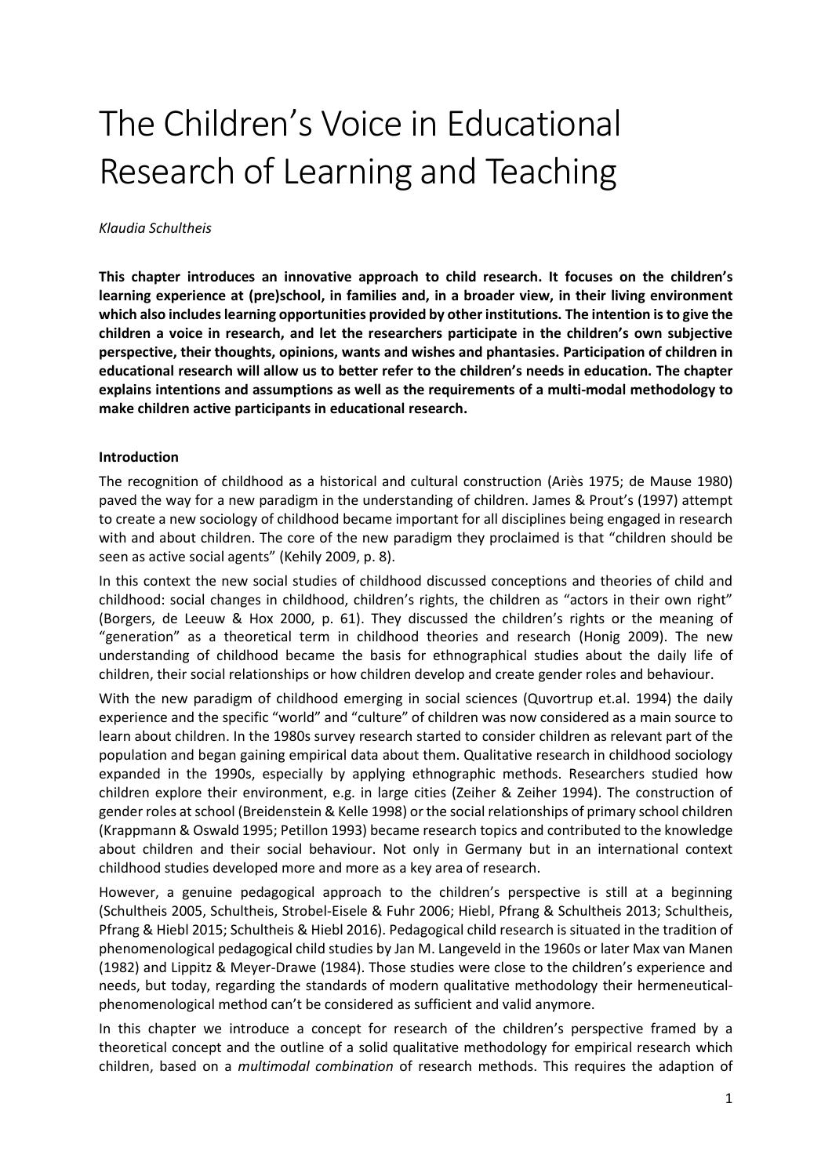# The Children's Voice in Educational Research of Learning and Teaching

#### *Klaudia Schultheis*

**This chapter introduces an innovative approach to child research. It focuses on the children's learning experience at (pre)school, in families and, in a broader view, in their living environment which also includes learning opportunities provided by other institutions. The intention is to give the children a voice in research, and let the researchers participate in the children's own subjective perspective, their thoughts, opinions, wants and wishes and phantasies. Participation of children in educational research will allow us to better refer to the children's needs in education. The chapter explains intentions and assumptions as well as the requirements of a multi-modal methodology to make children active participants in educational research.** 

## **Introduction**

The recognition of childhood as a historical and cultural construction (Ariès 1975; de Mause 1980) paved the way for a new paradigm in the understanding of children. James & Prout's (1997) attempt to create a new sociology of childhood became important for all disciplines being engaged in research with and about children. The core of the new paradigm they proclaimed is that "children should be seen as active social agents" (Kehily 2009, p. 8).

In this context the new social studies of childhood discussed conceptions and theories of child and childhood: social changes in childhood, children's rights, the children as "actors in their own right" (Borgers, de Leeuw & Hox 2000, p. 61). They discussed the children's rights or the meaning of "generation" as a theoretical term in childhood theories and research (Honig 2009). The new understanding of childhood became the basis for ethnographical studies about the daily life of children, their social relationships or how children develop and create gender roles and behaviour.

With the new paradigm of childhood emerging in social sciences (Quvortrup et.al. 1994) the daily experience and the specific "world" and "culture" of children was now considered as a main source to learn about children. In the 1980s survey research started to consider children as relevant part of the population and began gaining empirical data about them. Qualitative research in childhood sociology expanded in the 1990s, especially by applying ethnographic methods. Researchers studied how children explore their environment, e.g. in large cities (Zeiher & Zeiher 1994). The construction of gender roles at school (Breidenstein & Kelle 1998) or the social relationships of primary school children (Krappmann & Oswald 1995; Petillon 1993) became research topics and contributed to the knowledge about children and their social behaviour. Not only in Germany but in an international context childhood studies developed more and more as a key area of research.

However, a genuine pedagogical approach to the children's perspective is still at a beginning (Schultheis 2005, Schultheis, Strobel-Eisele & Fuhr 2006; Hiebl, Pfrang & Schultheis 2013; Schultheis, Pfrang & Hiebl 2015; Schultheis & Hiebl 2016). Pedagogical child research is situated in the tradition of phenomenological pedagogical child studies by Jan M. Langeveld in the 1960s or later Max van Manen (1982) and Lippitz & Meyer-Drawe (1984). Those studies were close to the children's experience and needs, but today, regarding the standards of modern qualitative methodology their hermeneuticalphenomenological method can't be considered as sufficient and valid anymore.

In this chapter we introduce a concept for research of the children's perspective framed by a theoretical concept and the outline of a solid qualitative methodology for empirical research which children, based on a *multimodal combination* of research methods. This requires the adaption of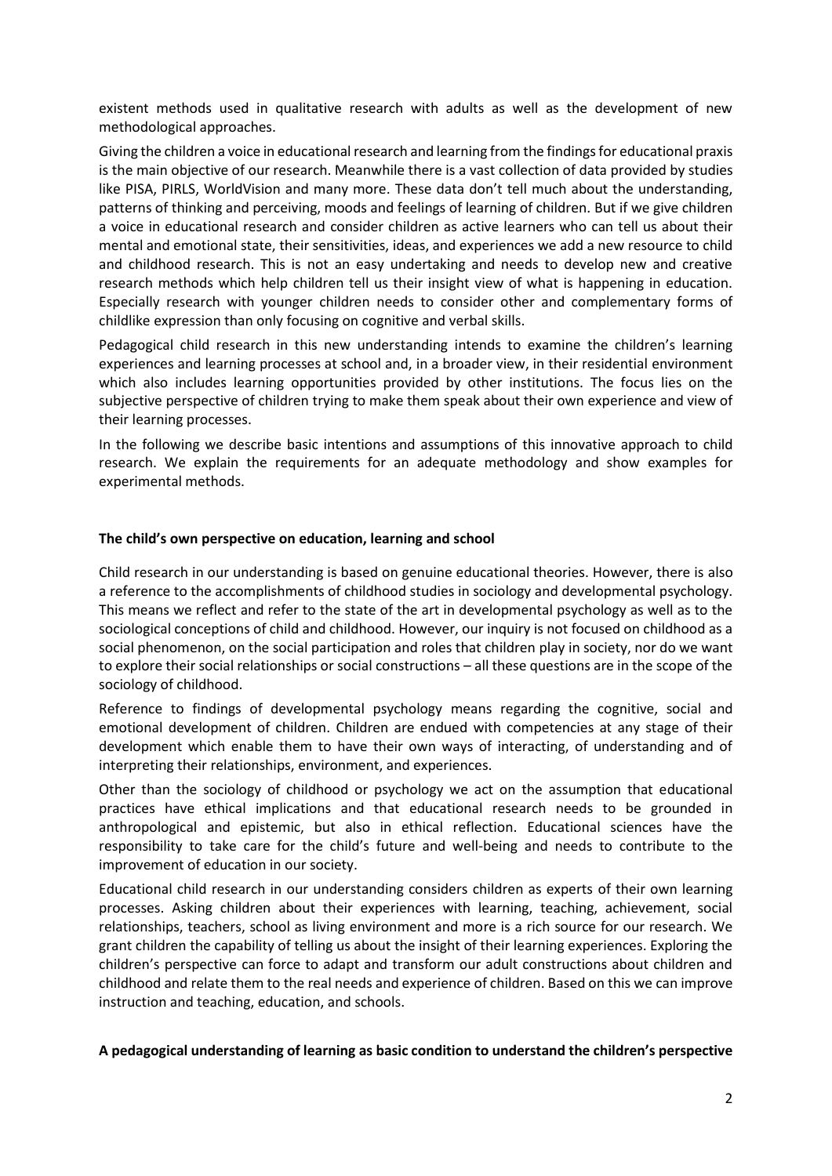existent methods used in qualitative research with adults as well as the development of new methodological approaches.

Giving the children a voice in educational research and learning from the findings for educational praxis is the main objective of our research. Meanwhile there is a vast collection of data provided by studies like PISA, PIRLS, WorldVision and many more. These data don't tell much about the understanding, patterns of thinking and perceiving, moods and feelings of learning of children. But if we give children a voice in educational research and consider children as active learners who can tell us about their mental and emotional state, their sensitivities, ideas, and experiences we add a new resource to child and childhood research. This is not an easy undertaking and needs to develop new and creative research methods which help children tell us their insight view of what is happening in education. Especially research with younger children needs to consider other and complementary forms of childlike expression than only focusing on cognitive and verbal skills.

Pedagogical child research in this new understanding intends to examine the children's learning experiences and learning processes at school and, in a broader view, in their residential environment which also includes learning opportunities provided by other institutions. The focus lies on the subjective perspective of children trying to make them speak about their own experience and view of their learning processes.

In the following we describe basic intentions and assumptions of this innovative approach to child research. We explain the requirements for an adequate methodology and show examples for experimental methods.

## **The child's own perspective on education, learning and school**

Child research in our understanding is based on genuine educational theories. However, there is also a reference to the accomplishments of childhood studies in sociology and developmental psychology. This means we reflect and refer to the state of the art in developmental psychology as well as to the sociological conceptions of child and childhood. However, our inquiry is not focused on childhood as a social phenomenon, on the social participation and roles that children play in society, nor do we want to explore their social relationships or social constructions – all these questions are in the scope of the sociology of childhood.

Reference to findings of developmental psychology means regarding the cognitive, social and emotional development of children. Children are endued with competencies at any stage of their development which enable them to have their own ways of interacting, of understanding and of interpreting their relationships, environment, and experiences.

Other than the sociology of childhood or psychology we act on the assumption that educational practices have ethical implications and that educational research needs to be grounded in anthropological and epistemic, but also in ethical reflection. Educational sciences have the responsibility to take care for the child's future and well-being and needs to contribute to the improvement of education in our society.

Educational child research in our understanding considers children as experts of their own learning processes. Asking children about their experiences with learning, teaching, achievement, social relationships, teachers, school as living environment and more is a rich source for our research. We grant children the capability of telling us about the insight of their learning experiences. Exploring the children's perspective can force to adapt and transform our adult constructions about children and childhood and relate them to the real needs and experience of children. Based on this we can improve instruction and teaching, education, and schools.

## **A pedagogical understanding of learning as basic condition to understand the children's perspective**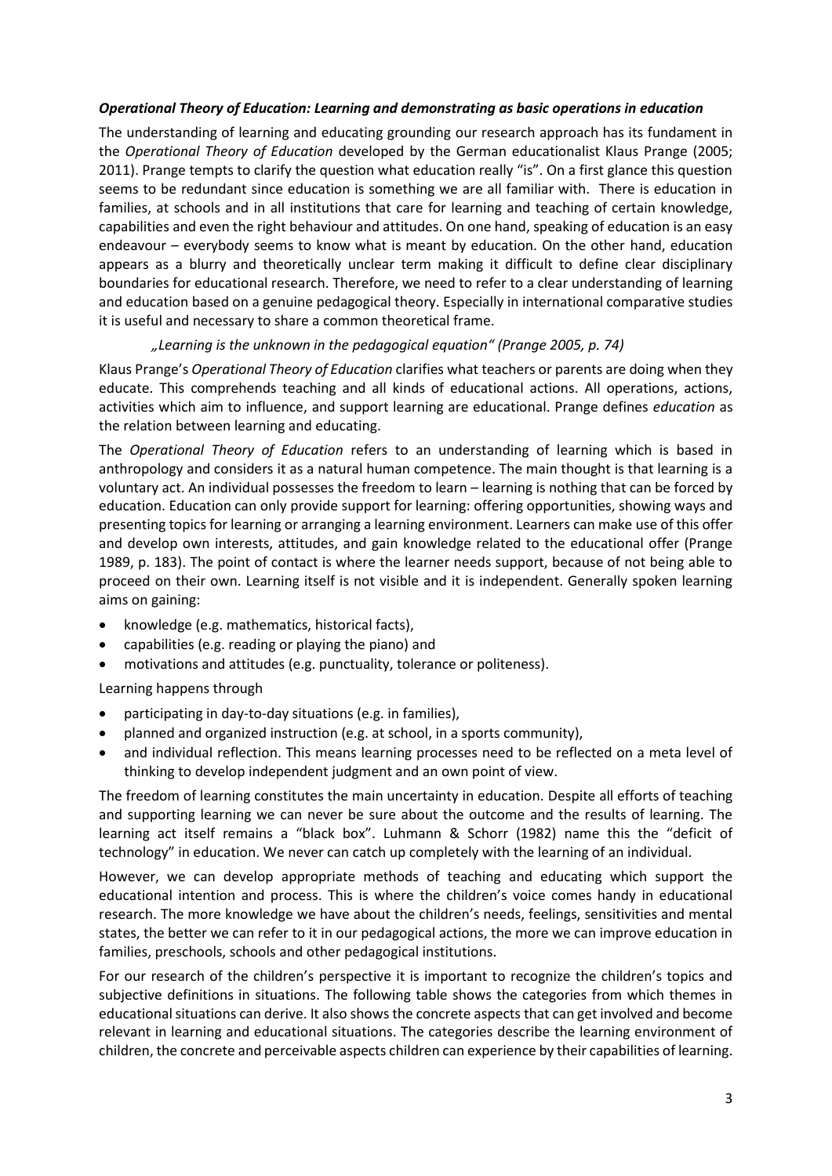## *Operational Theory of Education: Learning and demonstrating as basic operations in education*

The understanding of learning and educating grounding our research approach has its fundament in the *Operational Theory of Education* developed by the German educationalist Klaus Prange (2005; 2011). Prange tempts to clarify the question what education really "is". On a first glance this question seems to be redundant since education is something we are all familiar with. There is education in families, at schools and in all institutions that care for learning and teaching of certain knowledge, capabilities and even the right behaviour and attitudes. On one hand, speaking of education is an easy endeavour – everybody seems to know what is meant by education. On the other hand, education appears as a blurry and theoretically unclear term making it difficult to define clear disciplinary boundaries for educational research. Therefore, we need to refer to a clear understanding of learning and education based on a genuine pedagogical theory. Especially in international comparative studies it is useful and necessary to share a common theoretical frame.

## *"Learning is the unknown in the pedagogical equation" (Prange 2005, p. 74)*

Klaus Prange's *Operational Theory of Education* clarifies what teachers or parents are doing when they educate. This comprehends teaching and all kinds of educational actions. All operations, actions, activities which aim to influence, and support learning are educational. Prange defines *education* as the relation between learning and educating.

The *Operational Theory of Education* refers to an understanding of learning which is based in anthropology and considers it as a natural human competence. The main thought is that learning is a voluntary act. An individual possesses the freedom to learn – learning is nothing that can be forced by education. Education can only provide support for learning: offering opportunities, showing ways and presenting topics for learning or arranging a learning environment. Learners can make use of this offer and develop own interests, attitudes, and gain knowledge related to the educational offer (Prange 1989, p. 183). The point of contact is where the learner needs support, because of not being able to proceed on their own. Learning itself is not visible and it is independent. Generally spoken learning aims on gaining:

- knowledge (e.g. mathematics, historical facts),
- capabilities (e.g. reading or playing the piano) and
- motivations and attitudes (e.g. punctuality, tolerance or politeness).

Learning happens through

- participating in day-to-day situations (e.g. in families),
- planned and organized instruction (e.g. at school, in a sports community),
- and individual reflection. This means learning processes need to be reflected on a meta level of thinking to develop independent judgment and an own point of view.

The freedom of learning constitutes the main uncertainty in education. Despite all efforts of teaching and supporting learning we can never be sure about the outcome and the results of learning. The learning act itself remains a "black box". Luhmann & Schorr (1982) name this the "deficit of technology" in education. We never can catch up completely with the learning of an individual.

However, we can develop appropriate methods of teaching and educating which support the educational intention and process. This is where the children's voice comes handy in educational research. The more knowledge we have about the children's needs, feelings, sensitivities and mental states, the better we can refer to it in our pedagogical actions, the more we can improve education in families, preschools, schools and other pedagogical institutions.

For our research of the children's perspective it is important to recognize the children's topics and subjective definitions in situations. The following table shows the categories from which themes in educational situations can derive. It also shows the concrete aspects that can get involved and become relevant in learning and educational situations. The categories describe the learning environment of children, the concrete and perceivable aspects children can experience by their capabilities of learning.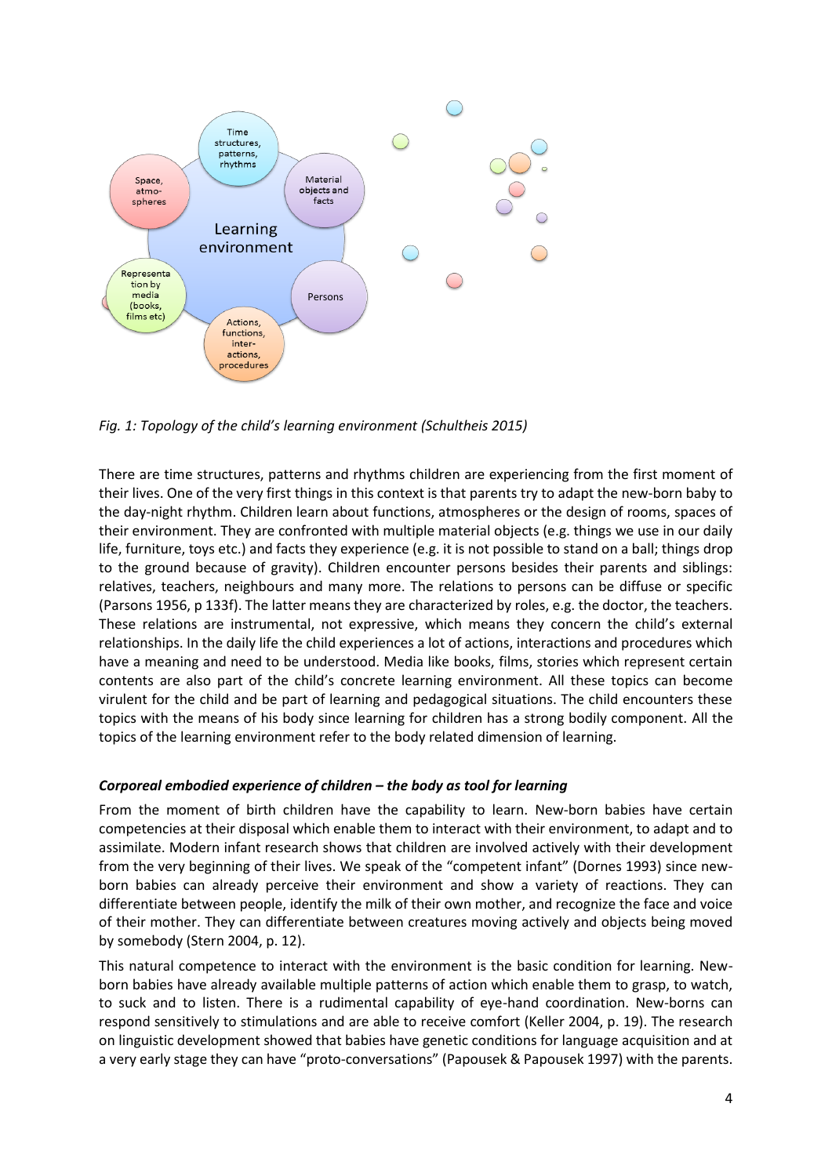

*Fig. 1: Topology of the child's learning environment (Schultheis 2015)*

There are time structures, patterns and rhythms children are experiencing from the first moment of their lives. One of the very first things in this context is that parents try to adapt the new-born baby to the day-night rhythm. Children learn about functions, atmospheres or the design of rooms, spaces of their environment. They are confronted with multiple material objects (e.g. things we use in our daily life, furniture, toys etc.) and facts they experience (e.g. it is not possible to stand on a ball; things drop to the ground because of gravity). Children encounter persons besides their parents and siblings: relatives, teachers, neighbours and many more. The relations to persons can be diffuse or specific (Parsons 1956, p 133f). The latter means they are characterized by roles, e.g. the doctor, the teachers. These relations are instrumental, not expressive, which means they concern the child's external relationships. In the daily life the child experiences a lot of actions, interactions and procedures which have a meaning and need to be understood. Media like books, films, stories which represent certain contents are also part of the child's concrete learning environment. All these topics can become virulent for the child and be part of learning and pedagogical situations. The child encounters these topics with the means of his body since learning for children has a strong bodily component. All the topics of the learning environment refer to the body related dimension of learning.

## *Corporeal embodied experience of children – the body as tool for learning*

From the moment of birth children have the capability to learn. New-born babies have certain competencies at their disposal which enable them to interact with their environment, to adapt and to assimilate. Modern infant research shows that children are involved actively with their development from the very beginning of their lives. We speak of the "competent infant" (Dornes 1993) since newborn babies can already perceive their environment and show a variety of reactions. They can differentiate between people, identify the milk of their own mother, and recognize the face and voice of their mother. They can differentiate between creatures moving actively and objects being moved by somebody (Stern 2004, p. 12).

This natural competence to interact with the environment is the basic condition for learning. Newborn babies have already available multiple patterns of action which enable them to grasp, to watch, to suck and to listen. There is a rudimental capability of eye-hand coordination. New-borns can respond sensitively to stimulations and are able to receive comfort (Keller 2004, p. 19). The research on linguistic development showed that babies have genetic conditions for language acquisition and at a very early stage they can have "proto-conversations" (Papousek & Papousek 1997) with the parents.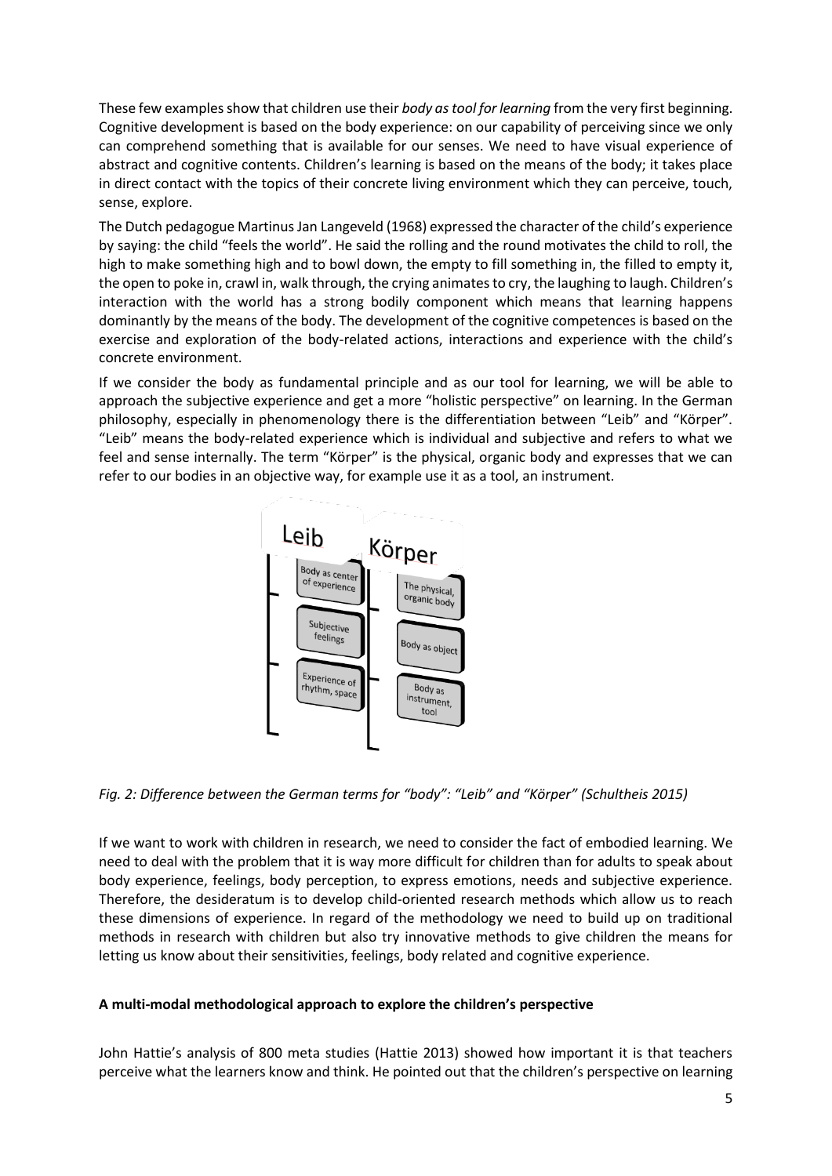These few examples show that children use their *body as tool for learning* from the very first beginning. Cognitive development is based on the body experience: on our capability of perceiving since we only can comprehend something that is available for our senses. We need to have visual experience of abstract and cognitive contents. Children's learning is based on the means of the body; it takes place in direct contact with the topics of their concrete living environment which they can perceive, touch, sense, explore.

The Dutch pedagogue Martinus Jan Langeveld (1968) expressed the character of the child's experience by saying: the child "feels the world". He said the rolling and the round motivates the child to roll, the high to make something high and to bowl down, the empty to fill something in, the filled to empty it, the open to poke in, crawl in, walk through, the crying animates to cry, the laughing to laugh. Children's interaction with the world has a strong bodily component which means that learning happens dominantly by the means of the body. The development of the cognitive competences is based on the exercise and exploration of the body-related actions, interactions and experience with the child's concrete environment.

If we consider the body as fundamental principle and as our tool for learning, we will be able to approach the subjective experience and get a more "holistic perspective" on learning. In the German philosophy, especially in phenomenology there is the differentiation between "Leib" and "Körper". "Leib" means the body-related experience which is individual and subjective and refers to what we feel and sense internally. The term "Körper" is the physical, organic body and expresses that we can refer to our bodies in an objective way, for example use it as a tool, an instrument.



*Fig. 2: Difference between the German terms for "body": "Leib" and "Körper" (Schultheis 2015)*

If we want to work with children in research, we need to consider the fact of embodied learning. We need to deal with the problem that it is way more difficult for children than for adults to speak about body experience, feelings, body perception, to express emotions, needs and subjective experience. Therefore, the desideratum is to develop child-oriented research methods which allow us to reach these dimensions of experience. In regard of the methodology we need to build up on traditional methods in research with children but also try innovative methods to give children the means for letting us know about their sensitivities, feelings, body related and cognitive experience.

# **A multi-modal methodological approach to explore the children's perspective**

John Hattie's analysis of 800 meta studies (Hattie 2013) showed how important it is that teachers perceive what the learners know and think. He pointed out that the children's perspective on learning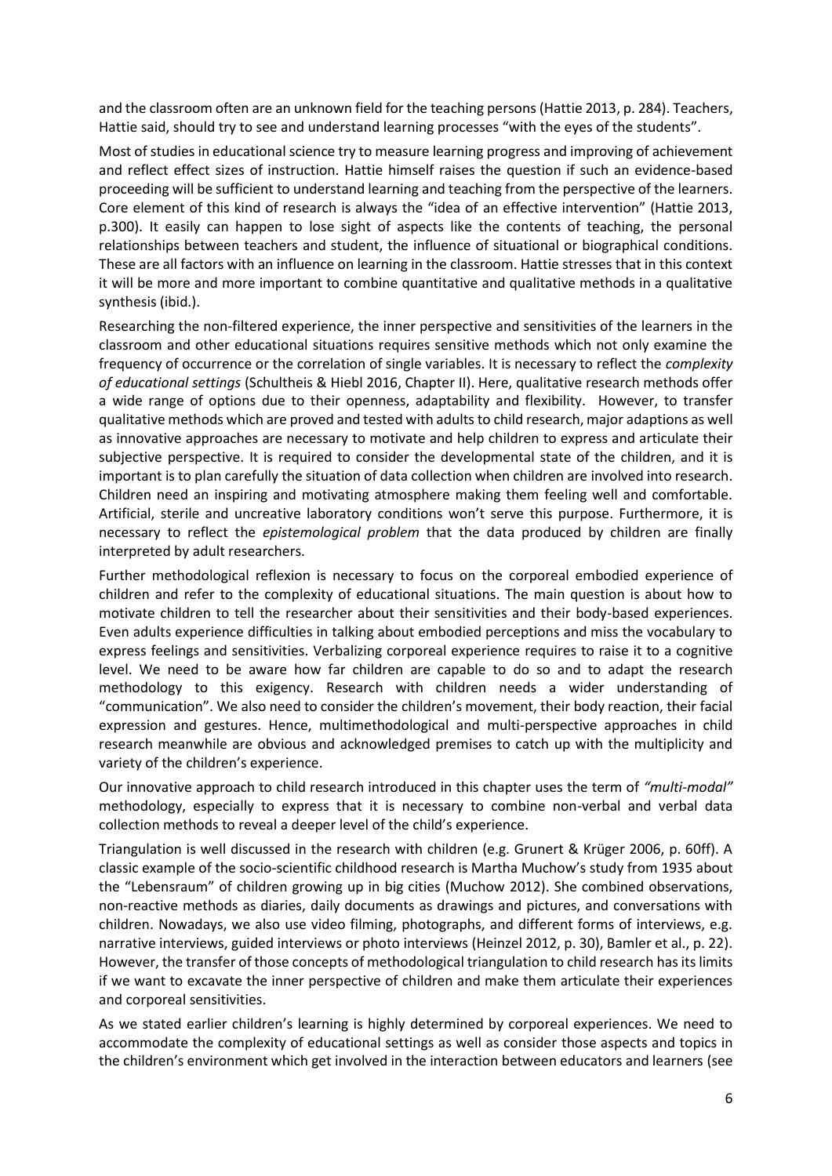and the classroom often are an unknown field for the teaching persons (Hattie 2013, p. 284). Teachers, Hattie said, should try to see and understand learning processes "with the eyes of the students".

Most of studies in educational science try to measure learning progress and improving of achievement and reflect effect sizes of instruction. Hattie himself raises the question if such an evidence-based proceeding will be sufficient to understand learning and teaching from the perspective of the learners. Core element of this kind of research is always the "idea of an effective intervention" (Hattie 2013, p.300). It easily can happen to lose sight of aspects like the contents of teaching, the personal relationships between teachers and student, the influence of situational or biographical conditions. These are all factors with an influence on learning in the classroom. Hattie stresses that in this context it will be more and more important to combine quantitative and qualitative methods in a qualitative synthesis (ibid.).

Researching the non-filtered experience, the inner perspective and sensitivities of the learners in the classroom and other educational situations requires sensitive methods which not only examine the frequency of occurrence or the correlation of single variables. It is necessary to reflect the *complexity of educational settings* (Schultheis & Hiebl 2016, Chapter II). Here, qualitative research methods offer a wide range of options due to their openness, adaptability and flexibility. However, to transfer qualitative methods which are proved and tested with adults to child research, major adaptions as well as innovative approaches are necessary to motivate and help children to express and articulate their subjective perspective. It is required to consider the developmental state of the children, and it is important is to plan carefully the situation of data collection when children are involved into research. Children need an inspiring and motivating atmosphere making them feeling well and comfortable. Artificial, sterile and uncreative laboratory conditions won't serve this purpose. Furthermore, it is necessary to reflect the *epistemological problem* that the data produced by children are finally interpreted by adult researchers.

Further methodological reflexion is necessary to focus on the corporeal embodied experience of children and refer to the complexity of educational situations. The main question is about how to motivate children to tell the researcher about their sensitivities and their body-based experiences. Even adults experience difficulties in talking about embodied perceptions and miss the vocabulary to express feelings and sensitivities. Verbalizing corporeal experience requires to raise it to a cognitive level. We need to be aware how far children are capable to do so and to adapt the research methodology to this exigency. Research with children needs a wider understanding of "communication". We also need to consider the children's movement, their body reaction, their facial expression and gestures. Hence, multimethodological and multi-perspective approaches in child research meanwhile are obvious and acknowledged premises to catch up with the multiplicity and variety of the children's experience.

Our innovative approach to child research introduced in this chapter uses the term of *"multi-modal"* methodology, especially to express that it is necessary to combine non-verbal and verbal data collection methods to reveal a deeper level of the child's experience.

Triangulation is well discussed in the research with children (e.g. Grunert & Krüger 2006, p. 60ff). A classic example of the socio-scientific childhood research is Martha Muchow's study from 1935 about the "Lebensraum" of children growing up in big cities (Muchow 2012). She combined observations, non-reactive methods as diaries, daily documents as drawings and pictures, and conversations with children. Nowadays, we also use video filming, photographs, and different forms of interviews, e.g. narrative interviews, guided interviews or photo interviews (Heinzel 2012, p. 30), Bamler et al., p. 22). However, the transfer of those concepts of methodological triangulation to child research has its limits if we want to excavate the inner perspective of children and make them articulate their experiences and corporeal sensitivities.

As we stated earlier children's learning is highly determined by corporeal experiences. We need to accommodate the complexity of educational settings as well as consider those aspects and topics in the children's environment which get involved in the interaction between educators and learners (see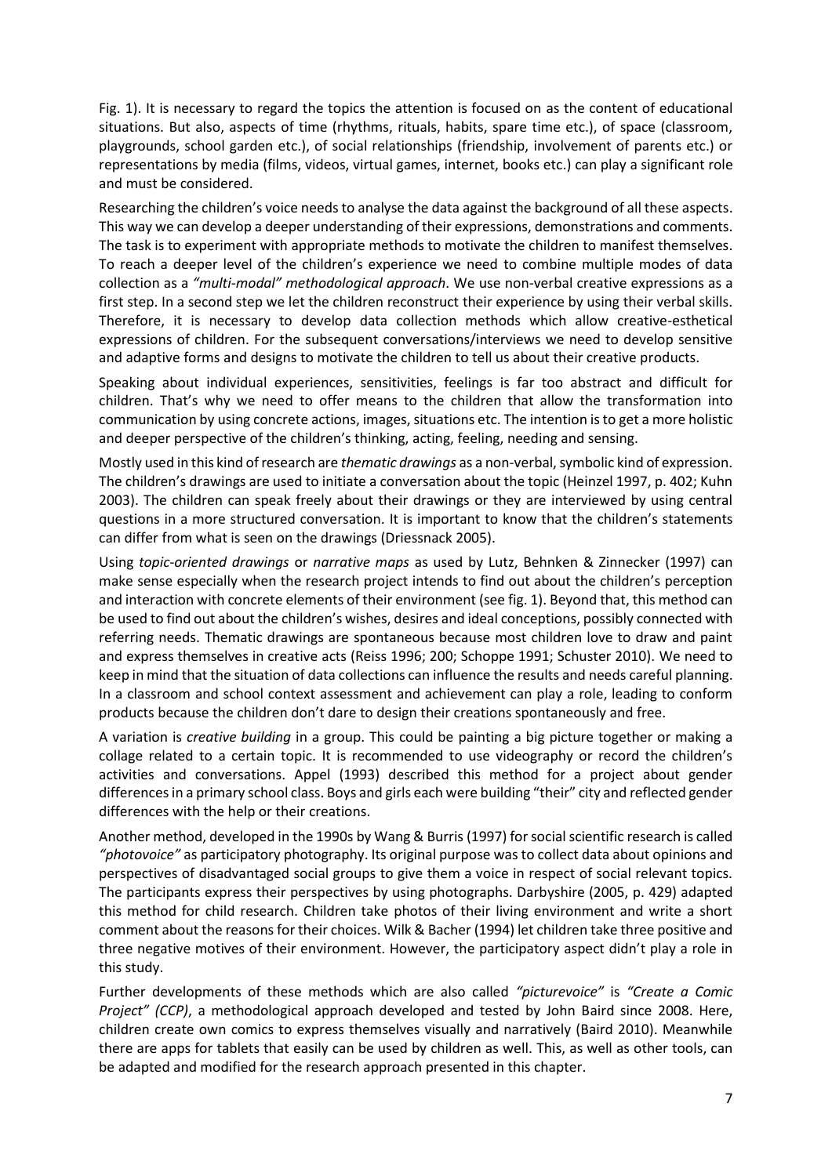Fig. 1). It is necessary to regard the topics the attention is focused on as the content of educational situations. But also, aspects of time (rhythms, rituals, habits, spare time etc.), of space (classroom, playgrounds, school garden etc.), of social relationships (friendship, involvement of parents etc.) or representations by media (films, videos, virtual games, internet, books etc.) can play a significant role and must be considered.

Researching the children's voice needs to analyse the data against the background of all these aspects. This way we can develop a deeper understanding of their expressions, demonstrations and comments. The task is to experiment with appropriate methods to motivate the children to manifest themselves. To reach a deeper level of the children's experience we need to combine multiple modes of data collection as a *"multi-modal" methodological approach*. We use non-verbal creative expressions as a first step. In a second step we let the children reconstruct their experience by using their verbal skills. Therefore, it is necessary to develop data collection methods which allow creative-esthetical expressions of children. For the subsequent conversations/interviews we need to develop sensitive and adaptive forms and designs to motivate the children to tell us about their creative products.

Speaking about individual experiences, sensitivities, feelings is far too abstract and difficult for children. That's why we need to offer means to the children that allow the transformation into communication by using concrete actions, images, situations etc. The intention is to get a more holistic and deeper perspective of the children's thinking, acting, feeling, needing and sensing.

Mostly used in this kind of research are *thematic drawings* as a non-verbal, symbolic kind of expression. The children's drawings are used to initiate a conversation about the topic (Heinzel 1997, p. 402; Kuhn 2003). The children can speak freely about their drawings or they are interviewed by using central questions in a more structured conversation. It is important to know that the children's statements can differ from what is seen on the drawings (Driessnack 2005).

Using *topic-oriented drawings* or *narrative maps* as used by Lutz, Behnken & Zinnecker (1997) can make sense especially when the research project intends to find out about the children's perception and interaction with concrete elements of their environment (see fig. 1). Beyond that, this method can be used to find out about the children's wishes, desires and ideal conceptions, possibly connected with referring needs. Thematic drawings are spontaneous because most children love to draw and paint and express themselves in creative acts (Reiss 1996; 200; Schoppe 1991; Schuster 2010). We need to keep in mind that the situation of data collections can influence the results and needs careful planning. In a classroom and school context assessment and achievement can play a role, leading to conform products because the children don't dare to design their creations spontaneously and free.

A variation is *creative building* in a group. This could be painting a big picture together or making a collage related to a certain topic. It is recommended to use videography or record the children's activities and conversations. Appel (1993) described this method for a project about gender differences in a primary school class. Boys and girls each were building "their" city and reflected gender differences with the help or their creations.

Another method, developed in the 1990s by Wang & Burris (1997) for social scientific research is called *"photovoice"* as participatory photography. Its original purpose was to collect data about opinions and perspectives of disadvantaged social groups to give them a voice in respect of social relevant topics. The participants express their perspectives by using photographs. Darbyshire (2005, p. 429) adapted this method for child research. Children take photos of their living environment and write a short comment about the reasons for their choices. Wilk & Bacher (1994) let children take three positive and three negative motives of their environment. However, the participatory aspect didn't play a role in this study.

Further developments of these methods which are also called *"picturevoice"* is *"Create a Comic Project" (CCP)*, a methodological approach developed and tested by John Baird since 2008. Here, children create own comics to express themselves visually and narratively (Baird 2010). Meanwhile there are apps for tablets that easily can be used by children as well. This, as well as other tools, can be adapted and modified for the research approach presented in this chapter.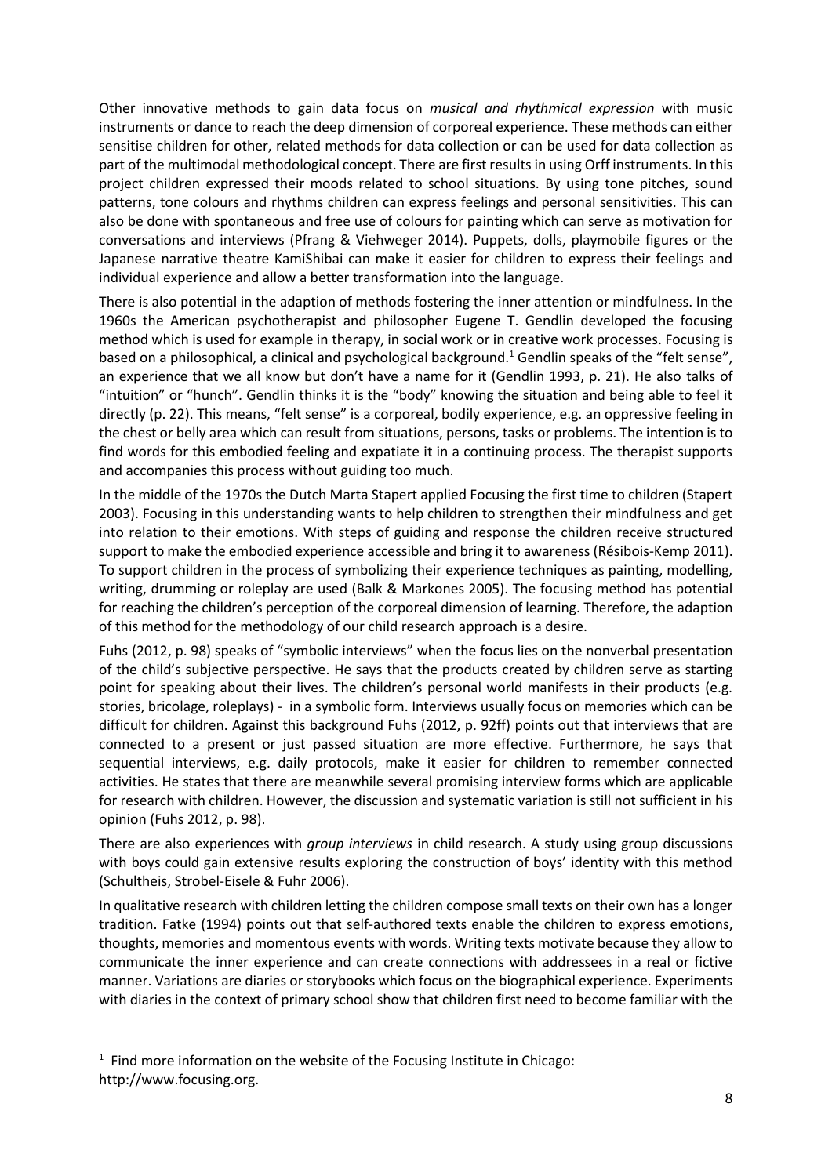Other innovative methods to gain data focus on *musical and rhythmical expression* with music instruments or dance to reach the deep dimension of corporeal experience. These methods can either sensitise children for other, related methods for data collection or can be used for data collection as part of the multimodal methodological concept. There are first results in using Orff instruments. In this project children expressed their moods related to school situations. By using tone pitches, sound patterns, tone colours and rhythms children can express feelings and personal sensitivities. This can also be done with spontaneous and free use of colours for painting which can serve as motivation for conversations and interviews (Pfrang & Viehweger 2014). Puppets, dolls, playmobile figures or the Japanese narrative theatre KamiShibai can make it easier for children to express their feelings and individual experience and allow a better transformation into the language.

There is also potential in the adaption of methods fostering the inner attention or mindfulness. In the 1960s the American psychotherapist and philosopher Eugene T. Gendlin developed the focusing method which is used for example in therapy, in social work or in creative work processes. Focusing is based on a philosophical, a clinical and psychological background.<sup>1</sup> Gendlin speaks of the "felt sense", an experience that we all know but don't have a name for it (Gendlin 1993, p. 21). He also talks of "intuition" or "hunch". Gendlin thinks it is the "body" knowing the situation and being able to feel it directly (p. 22). This means, "felt sense" is a corporeal, bodily experience, e.g. an oppressive feeling in the chest or belly area which can result from situations, persons, tasks or problems. The intention is to find words for this embodied feeling and expatiate it in a continuing process. The therapist supports and accompanies this process without guiding too much.

In the middle of the 1970s the Dutch Marta Stapert applied Focusing the first time to children (Stapert 2003). Focusing in this understanding wants to help children to strengthen their mindfulness and get into relation to their emotions. With steps of guiding and response the children receive structured support to make the embodied experience accessible and bring it to awareness (Résibois-Kemp 2011). To support children in the process of symbolizing their experience techniques as painting, modelling, writing, drumming or roleplay are used (Balk & Markones 2005). The focusing method has potential for reaching the children's perception of the corporeal dimension of learning. Therefore, the adaption of this method for the methodology of our child research approach is a desire.

Fuhs (2012, p. 98) speaks of "symbolic interviews" when the focus lies on the nonverbal presentation of the child's subjective perspective. He says that the products created by children serve as starting point for speaking about their lives. The children's personal world manifests in their products (e.g. stories, bricolage, roleplays) - in a symbolic form. Interviews usually focus on memories which can be difficult for children. Against this background Fuhs (2012, p. 92ff) points out that interviews that are connected to a present or just passed situation are more effective. Furthermore, he says that sequential interviews, e.g. daily protocols, make it easier for children to remember connected activities. He states that there are meanwhile several promising interview forms which are applicable for research with children. However, the discussion and systematic variation is still not sufficient in his opinion (Fuhs 2012, p. 98).

There are also experiences with *group interviews* in child research. A study using group discussions with boys could gain extensive results exploring the construction of boys' identity with this method (Schultheis, Strobel-Eisele & Fuhr 2006).

In qualitative research with children letting the children compose small texts on their own has a longer tradition. Fatke (1994) points out that self-authored texts enable the children to express emotions, thoughts, memories and momentous events with words. Writing texts motivate because they allow to communicate the inner experience and can create connections with addressees in a real or fictive manner. Variations are diaries or storybooks which focus on the biographical experience. Experiments with diaries in the context of primary school show that children first need to become familiar with the

**.** 

 $1$  Find more information on the website of the Focusing Institute in Chicago: http://www.focusing.org.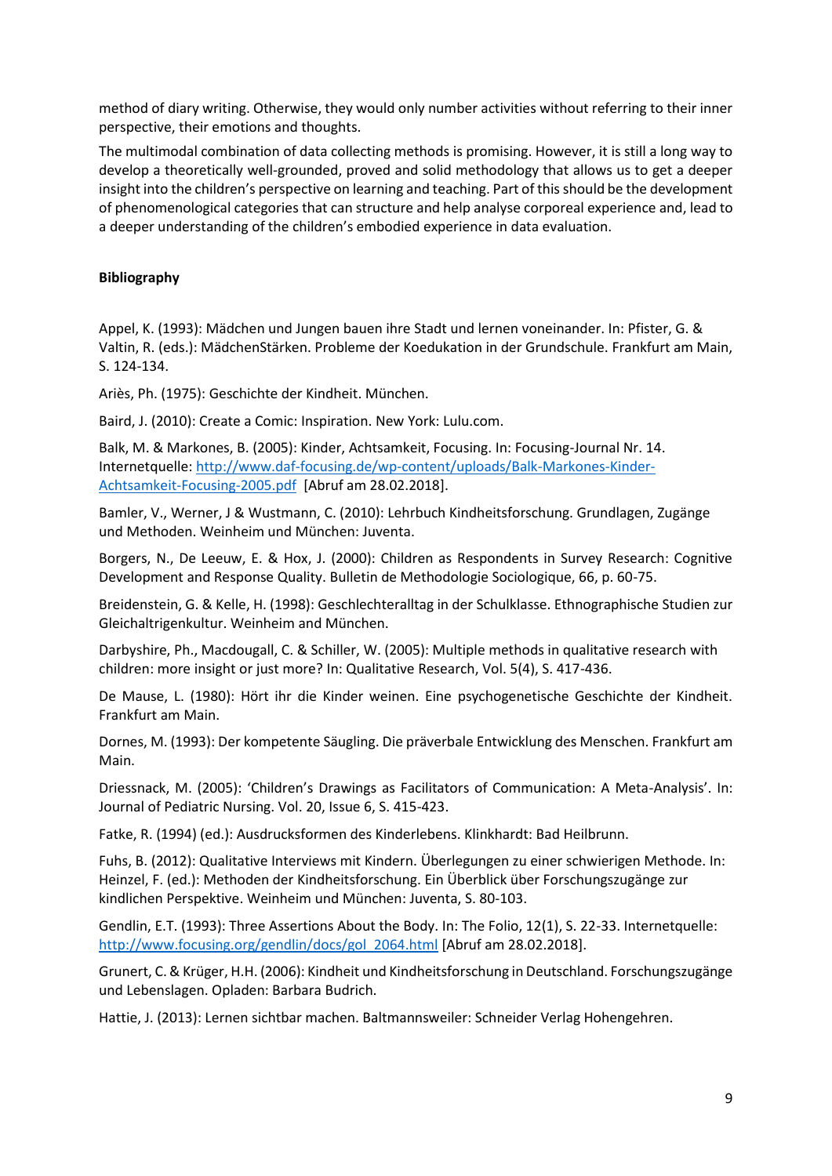method of diary writing. Otherwise, they would only number activities without referring to their inner perspective, their emotions and thoughts.

The multimodal combination of data collecting methods is promising. However, it is still a long way to develop a theoretically well-grounded, proved and solid methodology that allows us to get a deeper insight into the children's perspective on learning and teaching. Part of this should be the development of phenomenological categories that can structure and help analyse corporeal experience and, lead to a deeper understanding of the children's embodied experience in data evaluation.

## **Bibliography**

Appel, K. (1993): Mädchen und Jungen bauen ihre Stadt und lernen voneinander. In: Pfister, G. & Valtin, R. (eds.): MädchenStärken. Probleme der Koedukation in der Grundschule. Frankfurt am Main, S. 124-134.

Ariès, Ph. (1975): Geschichte der Kindheit. München.

Baird, J. (2010): Create a Comic: Inspiration. New York: Lulu.com.

Balk, M. & Markones, B. (2005): Kinder, Achtsamkeit, Focusing. In: Focusing-Journal Nr. 14. Internetquelle: [http://www.daf-focusing.de/wp-content/uploads/Balk-Markones-Kinder-](http://www.daf-focusing.de/wp-content/uploads/Balk-Markones-Kinder-Achtsamkeit-Focusing-2005.pdf)[Achtsamkeit-Focusing-2005.pdf](http://www.daf-focusing.de/wp-content/uploads/Balk-Markones-Kinder-Achtsamkeit-Focusing-2005.pdf) [Abruf am 28.02.2018].

Bamler, V., Werner, J & Wustmann, C. (2010): Lehrbuch Kindheitsforschung. Grundlagen, Zugänge und Methoden. Weinheim und München: Juventa.

Borgers, N., De Leeuw, E. & Hox, J. (2000): Children as Respondents in Survey Research: Cognitive Development and Response Quality. Bulletin de Methodologie Sociologique, 66, p. 60-75.

Breidenstein, G. & Kelle, H. (1998): Geschlechteralltag in der Schulklasse. Ethnographische Studien zur Gleichaltrigenkultur. Weinheim and München.

Darbyshire, Ph., Macdougall, C. & Schiller, W. (2005): Multiple methods in qualitative research with children: more insight or just more? In: Qualitative Research, Vol. 5(4), S. 417-436.

De Mause, L. (1980): Hört ihr die Kinder weinen. Eine psychogenetische Geschichte der Kindheit. Frankfurt am Main.

Dornes, M. (1993): Der kompetente Säugling. Die präverbale Entwicklung des Menschen. Frankfurt am Main.

Driessnack, M. (2005): 'Children's Drawings as Facilitators of Communication: A Meta-Analysis'. In: Journal of Pediatric Nursing. Vol. 20, Issue 6, S. 415-423.

Fatke, R. (1994) (ed.): Ausdrucksformen des Kinderlebens. Klinkhardt: Bad Heilbrunn.

Fuhs, B. (2012): Qualitative Interviews mit Kindern. Überlegungen zu einer schwierigen Methode. In: Heinzel, F. (ed.): Methoden der Kindheitsforschung. Ein Überblick über Forschungszugänge zur kindlichen Perspektive. Weinheim und München: Juventa, S. 80-103.

Gendlin, E.T. (1993): Three Assertions About the Body. In: The Folio, 12(1), S. 22-33. Internetquelle: [http://www.focusing.org/gendlin/docs/gol\\_2064.html](http://www.focusing.org/gendlin/docs/gol_2064.html) [Abruf am 28.02.2018].

Grunert, C. & Krüger, H.H. (2006): Kindheit und Kindheitsforschung in Deutschland. Forschungszugänge und Lebenslagen. Opladen: Barbara Budrich.

Hattie, J. (2013): Lernen sichtbar machen. Baltmannsweiler: Schneider Verlag Hohengehren.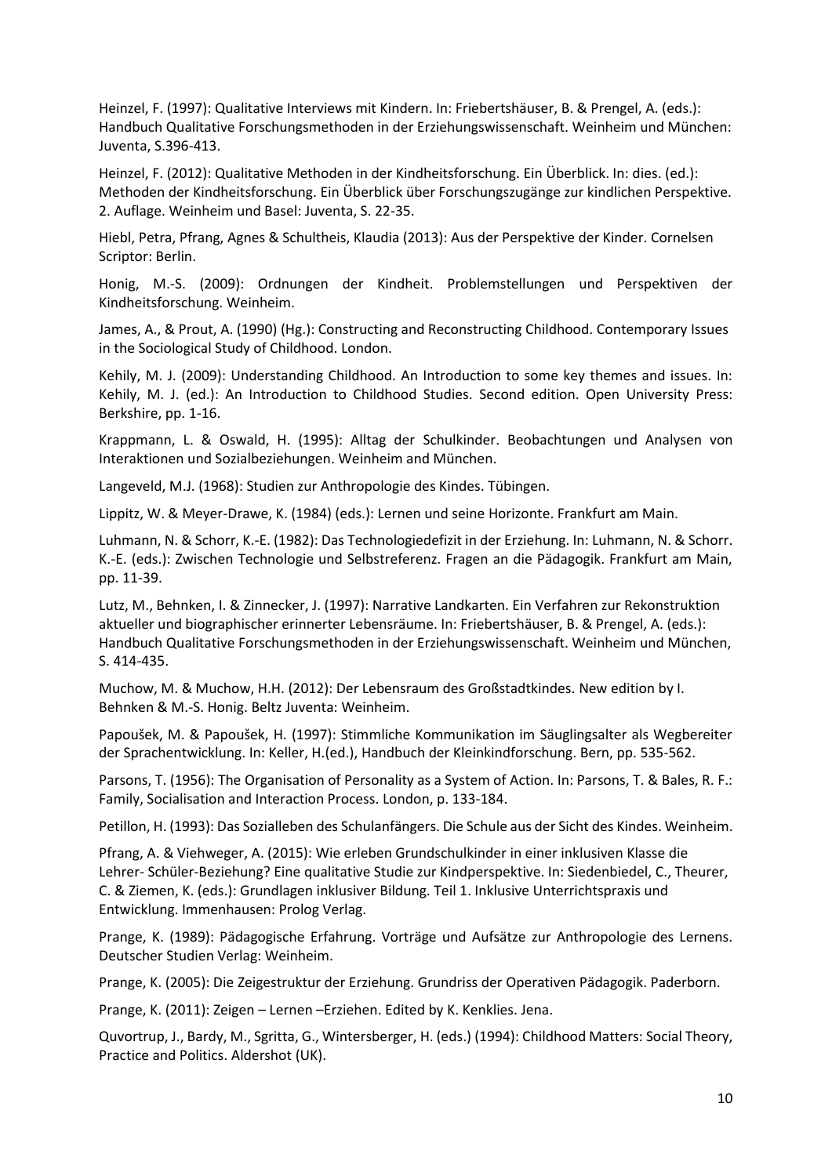Heinzel, F. (1997): Qualitative Interviews mit Kindern. In: Friebertshäuser, B. & Prengel, A. (eds.): Handbuch Qualitative Forschungsmethoden in der Erziehungswissenschaft. Weinheim und München: Juventa, S.396-413.

Heinzel, F. (2012): Qualitative Methoden in der Kindheitsforschung. Ein Überblick. In: dies. (ed.): Methoden der Kindheitsforschung. Ein Überblick über Forschungszugänge zur kindlichen Perspektive. 2. Auflage. Weinheim und Basel: Juventa, S. 22-35.

Hiebl, Petra, Pfrang, Agnes & Schultheis, Klaudia (2013): Aus der Perspektive der Kinder. Cornelsen Scriptor: Berlin.

Honig, M.-S. (2009): Ordnungen der Kindheit. Problemstellungen und Perspektiven der Kindheitsforschung. Weinheim.

James, A., & Prout, A. (1990) (Hg.): Constructing and Reconstructing Childhood. Contemporary Issues in the Sociological Study of Childhood. London.

Kehily, M. J. (2009): Understanding Childhood. An Introduction to some key themes and issues. In: Kehily, M. J. (ed.): An Introduction to Childhood Studies. Second edition. Open University Press: Berkshire, pp. 1-16.

Krappmann, L. & Oswald, H. (1995): Alltag der Schulkinder. Beobachtungen und Analysen von Interaktionen und Sozialbeziehungen. Weinheim and München.

Langeveld, M.J. (1968): Studien zur Anthropologie des Kindes. Tübingen.

Lippitz, W. & Meyer-Drawe, K. (1984) (eds.): Lernen und seine Horizonte. Frankfurt am Main.

Luhmann, N. & Schorr, K.-E. (1982): Das Technologiedefizit in der Erziehung. In: Luhmann, N. & Schorr. K.-E. (eds.): Zwischen Technologie und Selbstreferenz. Fragen an die Pädagogik. Frankfurt am Main, pp. 11-39.

Lutz, M., Behnken, I. & Zinnecker, J. (1997): Narrative Landkarten. Ein Verfahren zur Rekonstruktion aktueller und biographischer erinnerter Lebensräume. In: Friebertshäuser, B. & Prengel, A. (eds.): Handbuch Qualitative Forschungsmethoden in der Erziehungswissenschaft. Weinheim und München, S. 414-435.

Muchow, M. & Muchow, H.H. (2012): Der Lebensraum des Großstadtkindes. New edition by I. Behnken & M.-S. Honig. Beltz Juventa: Weinheim.

Papoušek, M. & Papoušek, H. (1997): Stimmliche Kommunikation im Säuglingsalter als Wegbereiter der Sprachentwicklung. In: Keller, H.(ed.), Handbuch der Kleinkindforschung. Bern, pp. 535-562.

Parsons, T. (1956): The Organisation of Personality as a System of Action. In: Parsons, T. & Bales, R. F.: Family, Socialisation and Interaction Process. London, p. 133-184.

Petillon, H. (1993): Das Sozialleben des Schulanfängers. Die Schule aus der Sicht des Kindes. Weinheim.

Pfrang, A. & Viehweger, A. (2015): Wie erleben Grundschulkinder in einer inklusiven Klasse die Lehrer- Schüler-Beziehung? Eine qualitative Studie zur Kindperspektive. In: Siedenbiedel, C., Theurer, C. & Ziemen, K. (eds.): Grundlagen inklusiver Bildung. Teil 1. Inklusive Unterrichtspraxis und Entwicklung. Immenhausen: Prolog Verlag.

Prange, K. (1989): Pädagogische Erfahrung. Vorträge und Aufsätze zur Anthropologie des Lernens. Deutscher Studien Verlag: Weinheim.

Prange, K. (2005): Die Zeigestruktur der Erziehung. Grundriss der Operativen Pädagogik. Paderborn.

Prange, K. (2011): Zeigen – Lernen –Erziehen. Edited by K. Kenklies. Jena.

Quvortrup, J., Bardy, M., Sgritta, G., Wintersberger, H. (eds.) (1994): Childhood Matters: Social Theory, Practice and Politics. Aldershot (UK).